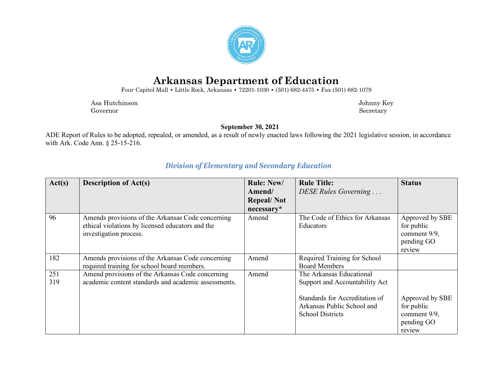

## **Arkansas Department of Education**

Four Capitol Mall **•** Little Rock, Arkansas **•** 72201-1030 **•** (501) 682-4475 **•** Fax (501) 682-1079

 Asa Hutchinson Johnny Key Governor Secretary Secretary Secretary Secretary Secretary Secretary Secretary Secretary Secretary Secretary Secretary Secretary Secretary Secretary Secretary Secretary Secretary Secretary Secretary Secretary Secretary Sec

**September 30, 2021**

ADE Report of Rules to be adopted, repealed, or amended, as a result of newly enacted laws following the 2021 legislative session, in accordance with Ark. Code Ann. § 25-15-216.

| Act(s)     | <b>Description of Act(s)</b>                                                                                                    | <b>Rule: New/</b><br>Amend/ | <b>Rule Title:</b><br>DESE Rules Governing                                              | <b>Status</b>                                                         |
|------------|---------------------------------------------------------------------------------------------------------------------------------|-----------------------------|-----------------------------------------------------------------------------------------|-----------------------------------------------------------------------|
|            |                                                                                                                                 | <b>Repeal/Not</b>           |                                                                                         |                                                                       |
|            |                                                                                                                                 | necessary*                  |                                                                                         |                                                                       |
| 96         | Amends provisions of the Arkansas Code concerning<br>ethical violations by licensed educators and the<br>investigation process. | Amend                       | The Code of Ethics for Arkansas<br>Educators                                            | Approved by SBE<br>for public<br>comment 9/9,<br>pending GO<br>review |
| 182        | Amends provisions of the Arkansas Code concerning<br>required training for school board members.                                | Amend                       | Required Training for School<br><b>Board Members</b>                                    |                                                                       |
| 251<br>319 | Amend provisions of the Arkansas Code concerning<br>academic content standards and academic assessments.                        | Amend                       | The Arkansas Educational<br>Support and Accountability Act                              |                                                                       |
|            |                                                                                                                                 |                             | Standards for Accreditation of<br>Arkansas Public School and<br><b>School Districts</b> | Approved by SBE<br>for public<br>comment 9/9,<br>pending GO<br>review |

## *Division of Elementary and Secondary Education*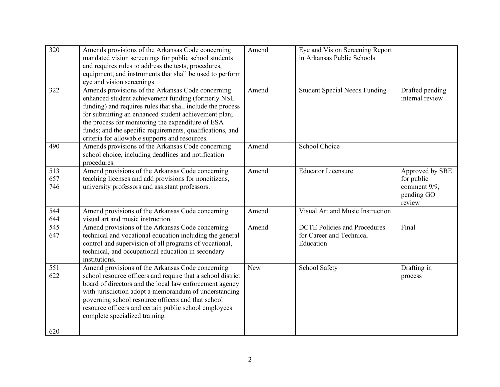| 320               | Amends provisions of the Arkansas Code concerning<br>mandated vision screenings for public school students<br>and requires rules to address the tests, procedures,<br>equipment, and instruments that shall be used to perform<br>eye and vision screenings.                                                                                                                                      | Amend      | Eye and Vision Screening Report<br>in Arkansas Public Schools                |                                                                       |
|-------------------|---------------------------------------------------------------------------------------------------------------------------------------------------------------------------------------------------------------------------------------------------------------------------------------------------------------------------------------------------------------------------------------------------|------------|------------------------------------------------------------------------------|-----------------------------------------------------------------------|
| 322               | Amends provisions of the Arkansas Code concerning<br>enhanced student achievement funding (formerly NSL<br>funding) and requires rules that shall include the process<br>for submitting an enhanced student achievement plan;<br>the process for monitoring the expenditure of ESA<br>funds; and the specific requirements, qualifications, and<br>criteria for allowable supports and resources. | Amend      | <b>Student Special Needs Funding</b>                                         | Drafted pending<br>internal review                                    |
| 490               | Amends provisions of the Arkansas Code concerning<br>school choice, including deadlines and notification<br>procedures.                                                                                                                                                                                                                                                                           | Amend      | School Choice                                                                |                                                                       |
| 513<br>657<br>746 | Amend provisions of the Arkansas Code concerning<br>teaching licenses and add provisions for noncitizens,<br>university professors and assistant professors.                                                                                                                                                                                                                                      | Amend      | <b>Educator Licensure</b>                                                    | Approved by SBE<br>for public<br>comment 9/9,<br>pending GO<br>review |
| 544<br>644        | Amend provisions of the Arkansas Code concerning<br>visual art and music instruction.                                                                                                                                                                                                                                                                                                             | Amend      | Visual Art and Music Instruction                                             |                                                                       |
| 545<br>647        | Amend provisions of the Arkansas Code concerning<br>technical and vocational education including the general<br>control and supervision of all programs of vocational,<br>technical, and occupational education in secondary<br>institutions.                                                                                                                                                     | Amend      | <b>DCTE Policies and Procedures</b><br>for Career and Technical<br>Education | Final                                                                 |
| 551<br>622<br>620 | Amend provisions of the Arkansas Code concerning<br>school resource officers and require that a school district<br>board of directors and the local law enforcement agency<br>with jurisdiction adopt a memorandum of understanding<br>governing school resource officers and that school<br>resource officers and certain public school employees<br>complete specialized training.              | <b>New</b> | School Safety                                                                | Drafting in<br>process                                                |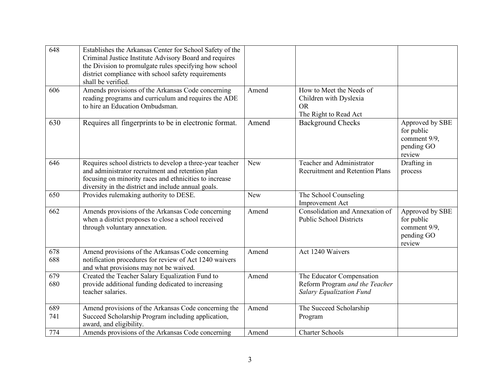| 648        | Establishes the Arkansas Center for School Safety of the<br>Criminal Justice Institute Advisory Board and requires<br>the Division to promulgate rules specifying how school<br>district compliance with school safety requirements<br>shall be verified. |            |                                                                                                |                                                                       |
|------------|-----------------------------------------------------------------------------------------------------------------------------------------------------------------------------------------------------------------------------------------------------------|------------|------------------------------------------------------------------------------------------------|-----------------------------------------------------------------------|
| 606        | Amends provisions of the Arkansas Code concerning<br>reading programs and curriculum and requires the ADE<br>to hire an Education Ombudsman.                                                                                                              | Amend      | How to Meet the Needs of<br>Children with Dyslexia<br><b>OR</b><br>The Right to Read Act       |                                                                       |
| 630        | Requires all fingerprints to be in electronic format.                                                                                                                                                                                                     | Amend      | <b>Background Checks</b>                                                                       | Approved by SBE<br>for public<br>comment 9/9,<br>pending GO<br>review |
| 646        | Requires school districts to develop a three-year teacher<br>and administrator recruitment and retention plan<br>focusing on minority races and ethnicities to increase<br>diversity in the district and include annual goals.                            | <b>New</b> | Teacher and Administrator<br><b>Recruitment and Retention Plans</b>                            | Drafting in<br>process                                                |
| 650        | Provides rulemaking authority to DESE.                                                                                                                                                                                                                    | <b>New</b> | The School Counseling<br>Improvement Act                                                       |                                                                       |
| 662        | Amends provisions of the Arkansas Code concerning<br>when a district proposes to close a school received<br>through voluntary annexation.                                                                                                                 | Amend      | Consolidation and Annexation of<br><b>Public School Districts</b>                              | Approved by SBE<br>for public<br>comment 9/9,<br>pending GO<br>review |
| 678<br>688 | Amend provisions of the Arkansas Code concerning<br>notification procedures for review of Act 1240 waivers<br>and what provisions may not be waived.                                                                                                      | Amend      | Act 1240 Waivers                                                                               |                                                                       |
| 679<br>680 | Created the Teacher Salary Equalization Fund to<br>provide additional funding dedicated to increasing<br>teacher salaries.                                                                                                                                | Amend      | The Educator Compensation<br>Reform Program and the Teacher<br><b>Salary Equalization Fund</b> |                                                                       |
| 689<br>741 | Amend provisions of the Arkansas Code concerning the<br>Succeed Scholarship Program including application,<br>award, and eligibility.                                                                                                                     | Amend      | The Succeed Scholarship<br>Program                                                             |                                                                       |
| 774        | Amends provisions of the Arkansas Code concerning                                                                                                                                                                                                         | Amend      | <b>Charter Schools</b>                                                                         |                                                                       |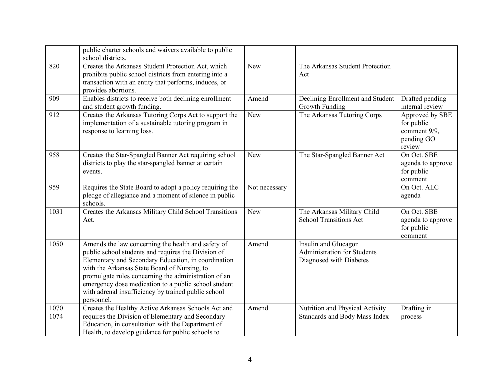|              | public charter schools and waivers available to public<br>school districts.                                                                                                                                                                                                                                                                                                                           |               |                                                                                       |                                                                       |
|--------------|-------------------------------------------------------------------------------------------------------------------------------------------------------------------------------------------------------------------------------------------------------------------------------------------------------------------------------------------------------------------------------------------------------|---------------|---------------------------------------------------------------------------------------|-----------------------------------------------------------------------|
| 820          | Creates the Arkansas Student Protection Act, which<br>prohibits public school districts from entering into a<br>transaction with an entity that performs, induces, or<br>provides abortions.                                                                                                                                                                                                          | <b>New</b>    | The Arkansas Student Protection<br>Act                                                |                                                                       |
| 909          | Enables districts to receive both declining enrollment<br>and student growth funding.                                                                                                                                                                                                                                                                                                                 | Amend         | Declining Enrollment and Student<br>Growth Funding                                    | Drafted pending<br>internal review                                    |
| 912          | Creates the Arkansas Tutoring Corps Act to support the<br>implementation of a sustainable tutoring program in<br>response to learning loss.                                                                                                                                                                                                                                                           | <b>New</b>    | The Arkansas Tutoring Corps                                                           | Approved by SBE<br>for public<br>comment 9/9,<br>pending GO<br>review |
| 958          | Creates the Star-Spangled Banner Act requiring school<br>districts to play the star-spangled banner at certain<br>events.                                                                                                                                                                                                                                                                             | New           | The Star-Spangled Banner Act                                                          | On Oct. SBE<br>agenda to approve<br>for public<br>comment             |
| 959          | Requires the State Board to adopt a policy requiring the<br>pledge of allegiance and a moment of silence in public<br>schools.                                                                                                                                                                                                                                                                        | Not necessary |                                                                                       | On Oct. ALC<br>agenda                                                 |
| 1031         | Creates the Arkansas Military Child School Transitions<br>Act.                                                                                                                                                                                                                                                                                                                                        | <b>New</b>    | The Arkansas Military Child<br><b>School Transitions Act</b>                          | On Oct. SBE<br>agenda to approve<br>for public<br>comment             |
| 1050         | Amends the law concerning the health and safety of<br>public school students and requires the Division of<br>Elementary and Secondary Education, in coordination<br>with the Arkansas State Board of Nursing, to<br>promulgate rules concerning the administration of an<br>emergency dose medication to a public school student<br>with adrenal insufficiency by trained public school<br>personnel. | Amend         | Insulin and Glucagon<br><b>Administration for Students</b><br>Diagnosed with Diabetes |                                                                       |
| 1070<br>1074 | Creates the Healthy Active Arkansas Schools Act and<br>requires the Division of Elementary and Secondary<br>Education, in consultation with the Department of<br>Health, to develop guidance for public schools to                                                                                                                                                                                    | Amend         | Nutrition and Physical Activity<br>Standards and Body Mass Index                      | Drafting in<br>process                                                |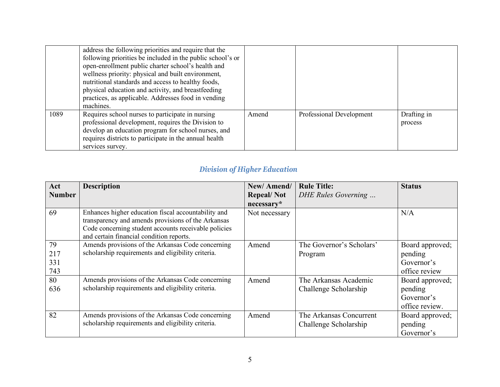|      | address the following priorities and require that the<br>following priorities be included in the public school's or<br>open-enrollment public charter school's health and<br>wellness priority: physical and built environment,<br>nutritional standards and access to healthy foods,<br>physical education and activity, and breastfeeding<br>practices, as applicable. Addresses food in vending<br>machines. |       |                          |                        |
|------|-----------------------------------------------------------------------------------------------------------------------------------------------------------------------------------------------------------------------------------------------------------------------------------------------------------------------------------------------------------------------------------------------------------------|-------|--------------------------|------------------------|
| 1089 | Requires school nurses to participate in nursing<br>professional development, requires the Division to<br>develop an education program for school nurses, and<br>requires districts to participate in the annual health<br>services survey.                                                                                                                                                                     | Amend | Professional Development | Drafting in<br>process |

## *Division of Higher Education*

| Act<br><b>Number</b>    | <b>Description</b>                                                                                                                                                                                            | New/Amend/<br><b>Repeal/Not</b><br>necessary* | <b>Rule Title:</b><br>DHE Rules Governing        | <b>Status</b>                                              |
|-------------------------|---------------------------------------------------------------------------------------------------------------------------------------------------------------------------------------------------------------|-----------------------------------------------|--------------------------------------------------|------------------------------------------------------------|
| 69                      | Enhances higher education fiscal accountability and<br>transparency and amends provisions of the Arkansas<br>Code concerning student accounts receivable policies<br>and certain financial condition reports. | Not necessary                                 |                                                  | N/A                                                        |
| 79<br>217<br>331<br>743 | Amends provisions of the Arkansas Code concerning<br>scholarship requirements and eligibility criteria.                                                                                                       | Amend                                         | The Governor's Scholars'<br>Program              | Board approved;<br>pending<br>Governor's<br>office review  |
| 80<br>636               | Amends provisions of the Arkansas Code concerning<br>scholarship requirements and eligibility criteria.                                                                                                       | Amend                                         | The Arkansas Academic<br>Challenge Scholarship   | Board approved;<br>pending<br>Governor's<br>office review. |
| 82                      | Amends provisions of the Arkansas Code concerning<br>scholarship requirements and eligibility criteria.                                                                                                       | Amend                                         | The Arkansas Concurrent<br>Challenge Scholarship | Board approved;<br>pending<br>Governor's                   |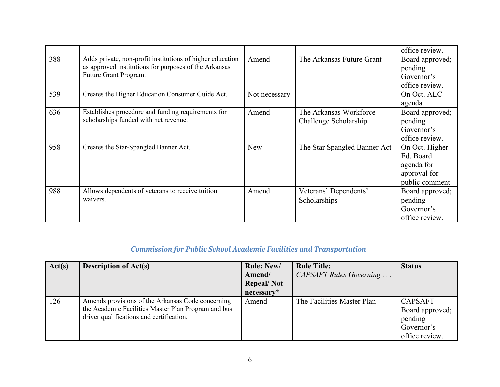|     |                                                           |               |                              | office review.  |
|-----|-----------------------------------------------------------|---------------|------------------------------|-----------------|
| 388 | Adds private, non-profit institutions of higher education | Amend         | The Arkansas Future Grant    | Board approved; |
|     | as approved institutions for purposes of the Arkansas     |               |                              | pending         |
|     | Future Grant Program.                                     |               |                              | Governor's      |
|     |                                                           |               |                              | office review.  |
| 539 | Creates the Higher Education Consumer Guide Act.          | Not necessary |                              | On Oct. ALC     |
|     |                                                           |               |                              | agenda          |
| 636 | Establishes procedure and funding requirements for        | Amend         | The Arkansas Workforce       | Board approved; |
|     | scholarships funded with net revenue.                     |               | Challenge Scholarship        | pending         |
|     |                                                           |               |                              | Governor's      |
|     |                                                           |               |                              | office review.  |
| 958 | Creates the Star-Spangled Banner Act.                     | <b>New</b>    | The Star Spangled Banner Act | On Oct. Higher  |
|     |                                                           |               |                              | Ed. Board       |
|     |                                                           |               |                              | agenda for      |
|     |                                                           |               |                              | approval for    |
|     |                                                           |               |                              | public comment  |
| 988 | Allows dependents of veterans to receive tuition          | Amend         | Veterans' Dependents'        | Board approved; |
|     | waivers.                                                  |               | Scholarships                 | pending         |
|     |                                                           |               |                              | Governor's      |
|     |                                                           |               |                              | office review.  |

## *Commission for Public School Academic Facilities and Transportation*

| Act(s) | <b>Description of Act(s)</b>                        | <b>Rule: New/</b> | <b>Rule Title:</b>         | <b>Status</b>   |
|--------|-----------------------------------------------------|-------------------|----------------------------|-----------------|
|        |                                                     | Amend/            | CAPSAFT Rules Governing    |                 |
|        |                                                     | <b>Repeal/Not</b> |                            |                 |
|        |                                                     | necessary*        |                            |                 |
| 126    | Amends provisions of the Arkansas Code concerning   | Amend             | The Facilities Master Plan | <b>CAPSAFT</b>  |
|        | the Academic Facilities Master Plan Program and bus |                   |                            | Board approved; |
|        | driver qualifications and certification.            |                   |                            | pending         |
|        |                                                     |                   |                            | Governor's      |
|        |                                                     |                   |                            | office review.  |